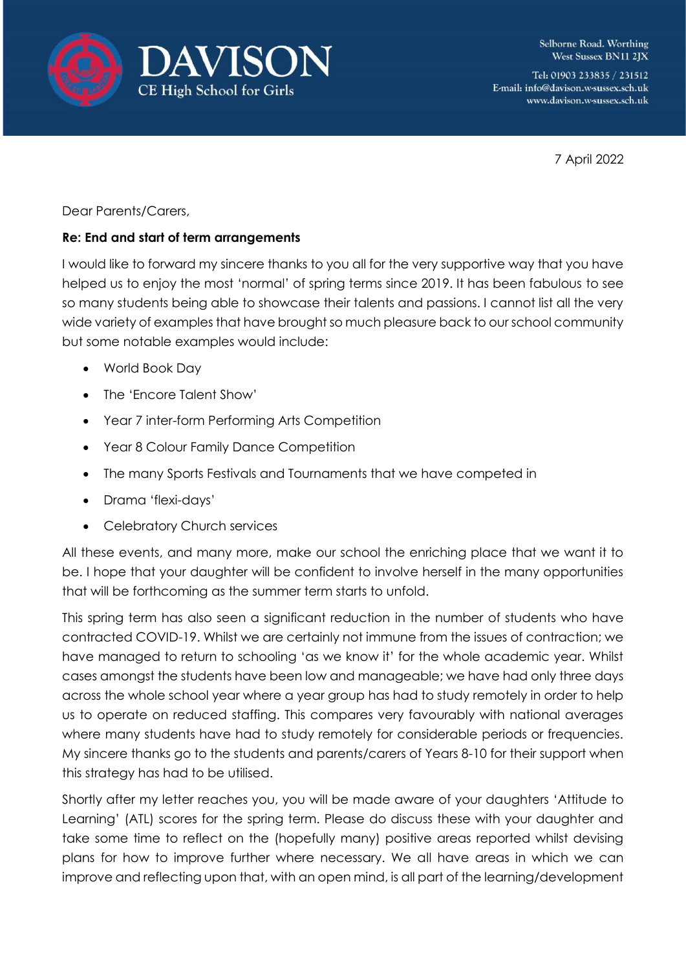



Tel: 01903 233835 / 231512 E-mail: info@davison.w-sussex.sch.uk www.davison.w-sussex.sch.uk

7 April 2022

Dear Parents/Carers,

## **Re: End and start of term arrangements**

I would like to forward my sincere thanks to you all for the very supportive way that you have helped us to enjoy the most 'normal' of spring terms since 2019. It has been fabulous to see so many students being able to showcase their talents and passions. I cannot list all the very wide variety of examples that have brought so much pleasure back to our school community but some notable examples would include:

- World Book Day
- The 'Encore Talent Show'
- Year 7 inter-form Performing Arts Competition
- Year 8 Colour Family Dance Competition
- The many Sports Festivals and Tournaments that we have competed in
- Drama 'flexi-days'
- Celebratory Church services

All these events, and many more, make our school the enriching place that we want it to be. I hope that your daughter will be confident to involve herself in the many opportunities that will be forthcoming as the summer term starts to unfold.

This spring term has also seen a significant reduction in the number of students who have contracted COVID-19. Whilst we are certainly not immune from the issues of contraction; we have managed to return to schooling 'as we know it' for the whole academic year. Whilst cases amongst the students have been low and manageable; we have had only three days across the whole school year where a year group has had to study remotely in order to help us to operate on reduced staffing. This compares very favourably with national averages where many students have had to study remotely for considerable periods or frequencies. My sincere thanks go to the students and parents/carers of Years 8-10 for their support when this strategy has had to be utilised.

Shortly after my letter reaches you, you will be made aware of your daughters 'Attitude to Learning' (ATL) scores for the spring term. Please do discuss these with your daughter and take some time to reflect on the (hopefully many) positive areas reported whilst devising plans for how to improve further where necessary. We all have areas in which we can improve and reflecting upon that, with an open mind, is all part of the learning/development